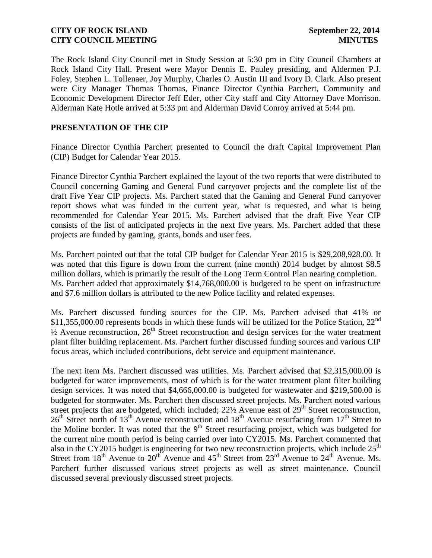The Rock Island City Council met in Study Session at 5:30 pm in City Council Chambers at Rock Island City Hall. Present were Mayor Dennis E. Pauley presiding, and Aldermen P.J. Foley, Stephen L. Tollenaer, Joy Murphy, Charles O. Austin III and Ivory D. Clark. Also present were City Manager Thomas Thomas, Finance Director Cynthia Parchert, Community and Economic Development Director Jeff Eder, other City staff and City Attorney Dave Morrison. Alderman Kate Hotle arrived at 5:33 pm and Alderman David Conroy arrived at 5:44 pm.

### **PRESENTATION OF THE CIP**

Finance Director Cynthia Parchert presented to Council the draft Capital Improvement Plan (CIP) Budget for Calendar Year 2015.

Finance Director Cynthia Parchert explained the layout of the two reports that were distributed to Council concerning Gaming and General Fund carryover projects and the complete list of the draft Five Year CIP projects. Ms. Parchert stated that the Gaming and General Fund carryover report shows what was funded in the current year, what is requested, and what is being recommended for Calendar Year 2015. Ms. Parchert advised that the draft Five Year CIP consists of the list of anticipated projects in the next five years. Ms. Parchert added that these projects are funded by gaming, grants, bonds and user fees.

Ms. Parchert pointed out that the total CIP budget for Calendar Year 2015 is \$29,208,928.00. It was noted that this figure is down from the current (nine month) 2014 budget by almost \$8.5 million dollars, which is primarily the result of the Long Term Control Plan nearing completion. Ms. Parchert added that approximately \$14,768,000.00 is budgeted to be spent on infrastructure and \$7.6 million dollars is attributed to the new Police facility and related expenses.

Ms. Parchert discussed funding sources for the CIP. Ms. Parchert advised that 41% or  $$11,355,000.00$  represents bonds in which these funds will be utilized for the Police Station, 22<sup>nd</sup>  $\frac{1}{2}$  Avenue reconstruction,  $26<sup>th</sup>$  Street reconstruction and design services for the water treatment plant filter building replacement. Ms. Parchert further discussed funding sources and various CIP focus areas, which included contributions, debt service and equipment maintenance.

The next item Ms. Parchert discussed was utilities. Ms. Parchert advised that \$2,315,000.00 is budgeted for water improvements, most of which is for the water treatment plant filter building design services. It was noted that \$4,666,000.00 is budgeted for wastewater and \$219,500.00 is budgeted for stormwater. Ms. Parchert then discussed street projects. Ms. Parchert noted various street projects that are budgeted, which included; 22½ Avenue east of 29<sup>th</sup> Street reconstruction,  $26<sup>th</sup>$  Street north of 13<sup>th</sup> Avenue reconstruction and 18<sup>th</sup> Avenue resurfacing from 17<sup>th</sup> Street to the Moline border. It was noted that the  $9<sup>th</sup>$  Street resurfacing project, which was budgeted for the current nine month period is being carried over into CY2015. Ms. Parchert commented that also in the CY2015 budget is engineering for two new reconstruction projects, which include  $25<sup>th</sup>$ Street from  $18<sup>th</sup>$  Avenue to  $20<sup>th</sup>$  Avenue and  $45<sup>th</sup>$  Street from  $23<sup>rd</sup>$  Avenue to  $24<sup>th</sup>$  Avenue. Ms. Parchert further discussed various street projects as well as street maintenance. Council discussed several previously discussed street projects.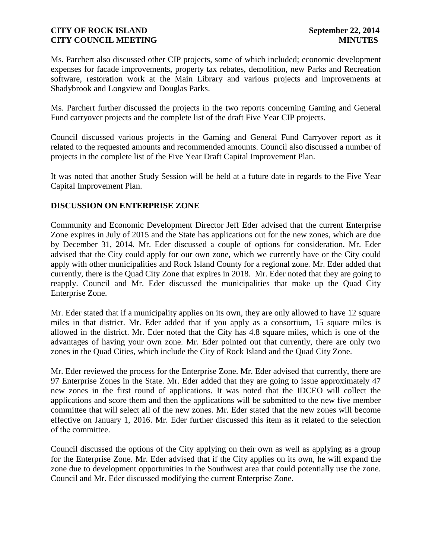Ms. Parchert also discussed other CIP projects, some of which included; economic development expenses for facade improvements, property tax rebates, demolition, new Parks and Recreation software, restoration work at the Main Library and various projects and improvements at Shadybrook and Longview and Douglas Parks.

Ms. Parchert further discussed the projects in the two reports concerning Gaming and General Fund carryover projects and the complete list of the draft Five Year CIP projects.

Council discussed various projects in the Gaming and General Fund Carryover report as it related to the requested amounts and recommended amounts. Council also discussed a number of projects in the complete list of the Five Year Draft Capital Improvement Plan.

It was noted that another Study Session will be held at a future date in regards to the Five Year Capital Improvement Plan.

# **DISCUSSION ON ENTERPRISE ZONE**

Community and Economic Development Director Jeff Eder advised that the current Enterprise Zone expires in July of 2015 and the State has applications out for the new zones, which are due by December 31, 2014. Mr. Eder discussed a couple of options for consideration. Mr. Eder advised that the City could apply for our own zone, which we currently have or the City could apply with other municipalities and Rock Island County for a regional zone. Mr. Eder added that currently, there is the Quad City Zone that expires in 2018. Mr. Eder noted that they are going to reapply. Council and Mr. Eder discussed the municipalities that make up the Quad City Enterprise Zone.

Mr. Eder stated that if a municipality applies on its own, they are only allowed to have 12 square miles in that district. Mr. Eder added that if you apply as a consortium, 15 square miles is allowed in the district. Mr. Eder noted that the City has 4.8 square miles, which is one of the advantages of having your own zone. Mr. Eder pointed out that currently, there are only two zones in the Quad Cities, which include the City of Rock Island and the Quad City Zone.

Mr. Eder reviewed the process for the Enterprise Zone. Mr. Eder advised that currently, there are 97 Enterprise Zones in the State. Mr. Eder added that they are going to issue approximately 47 new zones in the first round of applications. It was noted that the IDCEO will collect the applications and score them and then the applications will be submitted to the new five member committee that will select all of the new zones. Mr. Eder stated that the new zones will become effective on January 1, 2016. Mr. Eder further discussed this item as it related to the selection of the committee.

Council discussed the options of the City applying on their own as well as applying as a group for the Enterprise Zone. Mr. Eder advised that if the City applies on its own, he will expand the zone due to development opportunities in the Southwest area that could potentially use the zone. Council and Mr. Eder discussed modifying the current Enterprise Zone.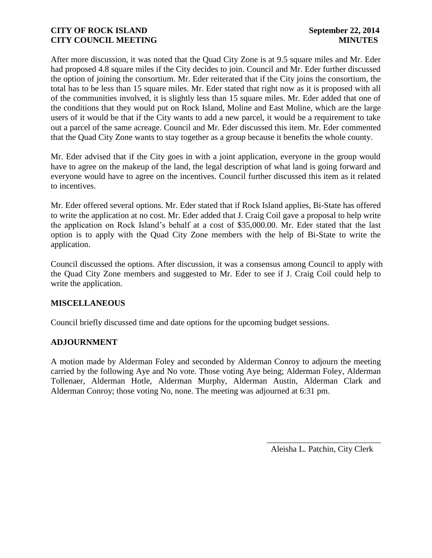After more discussion, it was noted that the Quad City Zone is at 9.5 square miles and Mr. Eder had proposed 4.8 square miles if the City decides to join. Council and Mr. Eder further discussed the option of joining the consortium. Mr. Eder reiterated that if the City joins the consortium, the total has to be less than 15 square miles. Mr. Eder stated that right now as it is proposed with all of the communities involved, it is slightly less than 15 square miles. Mr. Eder added that one of the conditions that they would put on Rock Island, Moline and East Moline, which are the large users of it would be that if the City wants to add a new parcel, it would be a requirement to take out a parcel of the same acreage. Council and Mr. Eder discussed this item. Mr. Eder commented that the Quad City Zone wants to stay together as a group because it benefits the whole county.

Mr. Eder advised that if the City goes in with a joint application, everyone in the group would have to agree on the makeup of the land, the legal description of what land is going forward and everyone would have to agree on the incentives. Council further discussed this item as it related to incentives.

Mr. Eder offered several options. Mr. Eder stated that if Rock Island applies, Bi-State has offered to write the application at no cost. Mr. Eder added that J. Craig Coil gave a proposal to help write the application on Rock Island's behalf at a cost of \$35,000.00. Mr. Eder stated that the last option is to apply with the Quad City Zone members with the help of Bi-State to write the application.

Council discussed the options. After discussion, it was a consensus among Council to apply with the Quad City Zone members and suggested to Mr. Eder to see if J. Craig Coil could help to write the application.

# **MISCELLANEOUS**

Council briefly discussed time and date options for the upcoming budget sessions.

#### **ADJOURNMENT**

A motion made by Alderman Foley and seconded by Alderman Conroy to adjourn the meeting carried by the following Aye and No vote. Those voting Aye being; Alderman Foley, Alderman Tollenaer, Alderman Hotle, Alderman Murphy, Alderman Austin, Alderman Clark and Alderman Conroy; those voting No, none. The meeting was adjourned at 6:31 pm.

Aleisha L. Patchin, City Clerk

 $\frac{1}{2}$  ,  $\frac{1}{2}$  ,  $\frac{1}{2}$  ,  $\frac{1}{2}$  ,  $\frac{1}{2}$  ,  $\frac{1}{2}$  ,  $\frac{1}{2}$  ,  $\frac{1}{2}$  ,  $\frac{1}{2}$  ,  $\frac{1}{2}$  ,  $\frac{1}{2}$  ,  $\frac{1}{2}$  ,  $\frac{1}{2}$  ,  $\frac{1}{2}$  ,  $\frac{1}{2}$  ,  $\frac{1}{2}$  ,  $\frac{1}{2}$  ,  $\frac{1}{2}$  ,  $\frac{1$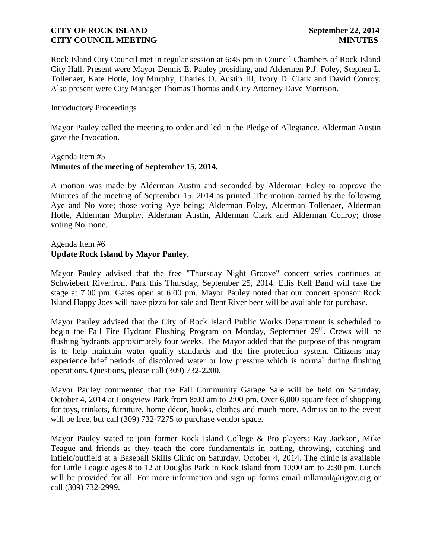Rock Island City Council met in regular session at 6:45 pm in Council Chambers of Rock Island City Hall. Present were Mayor Dennis E. Pauley presiding, and Aldermen P.J. Foley, Stephen L. Tollenaer, Kate Hotle, Joy Murphy, Charles O. Austin III, Ivory D. Clark and David Conroy. Also present were City Manager Thomas Thomas and City Attorney Dave Morrison.

#### Introductory Proceedings

Mayor Pauley called the meeting to order and led in the Pledge of Allegiance. Alderman Austin gave the Invocation.

#### Agenda Item #5 **Minutes of the meeting of September 15, 2014.**

A motion was made by Alderman Austin and seconded by Alderman Foley to approve the Minutes of the meeting of September 15, 2014 as printed. The motion carried by the following Aye and No vote; those voting Aye being; Alderman Foley, Alderman Tollenaer, Alderman Hotle, Alderman Murphy, Alderman Austin, Alderman Clark and Alderman Conroy; those voting No, none.

### Agenda Item #6 **Update Rock Island by Mayor Pauley.**

Mayor Pauley advised that the free "Thursday Night Groove" concert series continues at Schwiebert Riverfront Park this Thursday, September 25, 2014. Ellis Kell Band will take the stage at 7:00 pm. Gates open at 6:00 pm. Mayor Pauley noted that our concert sponsor Rock Island Happy Joes will have pizza for sale and Bent River beer will be available for purchase.

Mayor Pauley advised that the City of Rock Island Public Works Department is scheduled to begin the Fall Fire Hydrant Flushing Program on Monday, September 29<sup>th</sup>. Crews will be flushing hydrants approximately four weeks. The Mayor added that the purpose of this program is to help maintain water quality standards and the fire protection system. Citizens may experience brief periods of discolored water or low pressure which is normal during flushing operations. Questions, please call (309) 732-2200.

Mayor Pauley commented that the Fall Community Garage Sale will be held on Saturday, October 4, 2014 at Longview Park from 8:00 am to 2:00 pm. Over 6,000 square feet of shopping for toys, trinkets**,** furniture, home décor, books, clothes and much more. Admission to the event will be free, but call (309) 732-7275 to purchase vendor space.

Mayor Pauley stated to join former Rock Island College & Pro players: Ray Jackson, Mike Teague and friends as they teach the core fundamentals in batting, throwing, catching and infield/outfield at a Baseball Skills Clinic on Saturday, October 4, 2014. The clinic is available for Little League ages 8 to 12 at Douglas Park in Rock Island from 10:00 am to 2:30 pm. Lunch will be provided for all. For more information and sign up forms email mlkmail@rigov.org or call (309) 732-2999.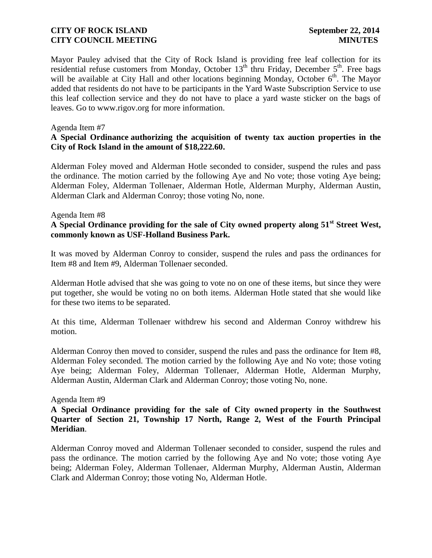Mayor Pauley advised that the City of Rock Island is providing free leaf collection for its residential refuse customers from Monday, October  $13<sup>th</sup>$  thru Friday, December  $5<sup>th</sup>$ . Free bags will be available at City Hall and other locations beginning Monday, October  $6<sup>th</sup>$ . The Mayor added that residents do not have to be participants in the Yard Waste Subscription Service to use this leaf collection service and they do not have to place a yard waste sticker on the bags of leaves. Go to www.rigov.org for more information.

#### Agenda Item #7

### **A Special Ordinance authorizing the acquisition of twenty tax auction properties in the City of Rock Island in the amount of \$18,222.60.**

Alderman Foley moved and Alderman Hotle seconded to consider, suspend the rules and pass the ordinance. The motion carried by the following Aye and No vote; those voting Aye being; Alderman Foley, Alderman Tollenaer, Alderman Hotle, Alderman Murphy, Alderman Austin, Alderman Clark and Alderman Conroy; those voting No, none.

#### Agenda Item #8

### **A Special Ordinance providing for the sale of City owned property along 51st Street West, commonly known as USF-Holland Business Park.**

It was moved by Alderman Conroy to consider, suspend the rules and pass the ordinances for Item #8 and Item #9, Alderman Tollenaer seconded.

Alderman Hotle advised that she was going to vote no on one of these items, but since they were put together, she would be voting no on both items. Alderman Hotle stated that she would like for these two items to be separated.

At this time, Alderman Tollenaer withdrew his second and Alderman Conroy withdrew his motion.

Alderman Conroy then moved to consider, suspend the rules and pass the ordinance for Item #8, Alderman Foley seconded. The motion carried by the following Aye and No vote; those voting Aye being; Alderman Foley, Alderman Tollenaer, Alderman Hotle, Alderman Murphy, Alderman Austin, Alderman Clark and Alderman Conroy; those voting No, none.

#### Agenda Item #9

### **A Special Ordinance providing for the sale of City owned property in the Southwest Quarter of Section 21, Township 17 North, Range 2, West of the Fourth Principal Meridian**.

Alderman Conroy moved and Alderman Tollenaer seconded to consider, suspend the rules and pass the ordinance. The motion carried by the following Aye and No vote; those voting Aye being; Alderman Foley, Alderman Tollenaer, Alderman Murphy, Alderman Austin, Alderman Clark and Alderman Conroy; those voting No, Alderman Hotle.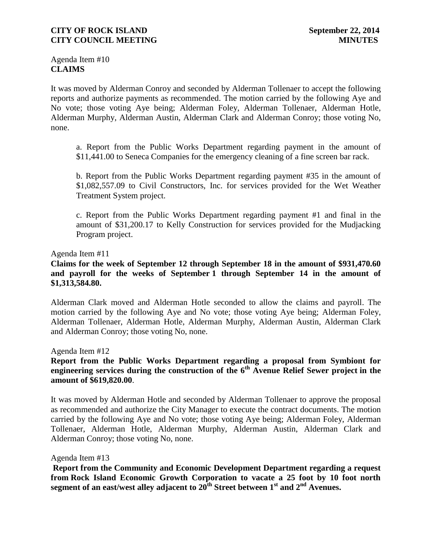Agenda Item #10 **CLAIMS**

It was moved by Alderman Conroy and seconded by Alderman Tollenaer to accept the following reports and authorize payments as recommended. The motion carried by the following Aye and No vote; those voting Aye being; Alderman Foley, Alderman Tollenaer, Alderman Hotle, Alderman Murphy, Alderman Austin, Alderman Clark and Alderman Conroy; those voting No, none.

a. Report from the Public Works Department regarding payment in the amount of \$11,441.00 to Seneca Companies for the emergency cleaning of a fine screen bar rack.

b. Report from the Public Works Department regarding payment #35 in the amount of \$1,082,557.09 to Civil Constructors, Inc. for services provided for the Wet Weather Treatment System project.

c. Report from the Public Works Department regarding payment #1 and final in the amount of \$31,200.17 to Kelly Construction for services provided for the Mudjacking Program project.

#### Agenda Item #11

### **Claims for the week of September 12 through September 18 in the amount of \$931,470.60 and payroll for the weeks of September 1 through September 14 in the amount of \$1,313,584.80.**

Alderman Clark moved and Alderman Hotle seconded to allow the claims and payroll. The motion carried by the following Aye and No vote; those voting Aye being; Alderman Foley, Alderman Tollenaer, Alderman Hotle, Alderman Murphy, Alderman Austin, Alderman Clark and Alderman Conroy; those voting No, none.

Agenda Item #12

# **Report from the Public Works Department regarding a proposal from Symbiont for engineering services during the construction of the 6th Avenue Relief Sewer project in the amount of \$619,820.00**.

It was moved by Alderman Hotle and seconded by Alderman Tollenaer to approve the proposal as recommended and authorize the City Manager to execute the contract documents. The motion carried by the following Aye and No vote; those voting Aye being; Alderman Foley, Alderman Tollenaer, Alderman Hotle, Alderman Murphy, Alderman Austin, Alderman Clark and Alderman Conroy; those voting No, none.

Agenda Item #13

**Report from the Community and Economic Development Department regarding a request from Rock Island Economic Growth Corporation to vacate a 25 foot by 10 foot north segment of an east/west alley adjacent to 20th Street between 1st and 2nd Avenues.**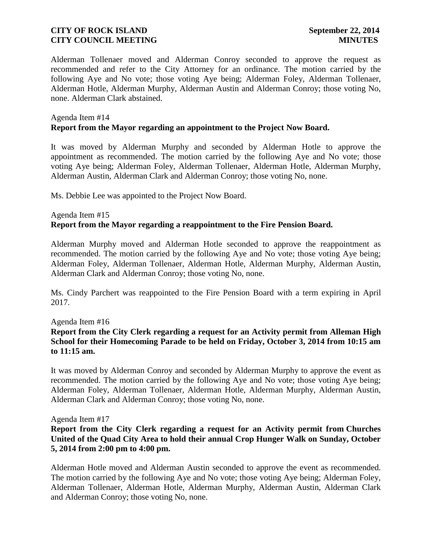Alderman Tollenaer moved and Alderman Conroy seconded to approve the request as recommended and refer to the City Attorney for an ordinance. The motion carried by the following Aye and No vote; those voting Aye being; Alderman Foley, Alderman Tollenaer, Alderman Hotle, Alderman Murphy, Alderman Austin and Alderman Conroy; those voting No, none. Alderman Clark abstained.

### Agenda Item #14 **Report from the Mayor regarding an appointment to the Project Now Board.**

It was moved by Alderman Murphy and seconded by Alderman Hotle to approve the appointment as recommended. The motion carried by the following Aye and No vote; those voting Aye being; Alderman Foley, Alderman Tollenaer, Alderman Hotle, Alderman Murphy, Alderman Austin, Alderman Clark and Alderman Conroy; those voting No, none.

Ms. Debbie Lee was appointed to the Project Now Board.

#### Agenda Item #15 **Report from the Mayor regarding a reappointment to the Fire Pension Board.**

Alderman Murphy moved and Alderman Hotle seconded to approve the reappointment as recommended. The motion carried by the following Aye and No vote; those voting Aye being; Alderman Foley, Alderman Tollenaer, Alderman Hotle, Alderman Murphy, Alderman Austin, Alderman Clark and Alderman Conroy; those voting No, none.

Ms. Cindy Parchert was reappointed to the Fire Pension Board with a term expiring in April 2017.

#### Agenda Item #16

**Report from the City Clerk regarding a request for an Activity permit from Alleman High School for their Homecoming Parade to be held on Friday, October 3, 2014 from 10:15 am to 11:15 am.**

It was moved by Alderman Conroy and seconded by Alderman Murphy to approve the event as recommended. The motion carried by the following Aye and No vote; those voting Aye being; Alderman Foley, Alderman Tollenaer, Alderman Hotle, Alderman Murphy, Alderman Austin, Alderman Clark and Alderman Conroy; those voting No, none.

#### Agenda Item #17

### **Report from the City Clerk regarding a request for an Activity permit from Churches United of the Quad City Area to hold their annual Crop Hunger Walk on Sunday, October 5, 2014 from 2:00 pm to 4:00 pm.**

Alderman Hotle moved and Alderman Austin seconded to approve the event as recommended. The motion carried by the following Aye and No vote; those voting Aye being; Alderman Foley, Alderman Tollenaer, Alderman Hotle, Alderman Murphy, Alderman Austin, Alderman Clark and Alderman Conroy; those voting No, none.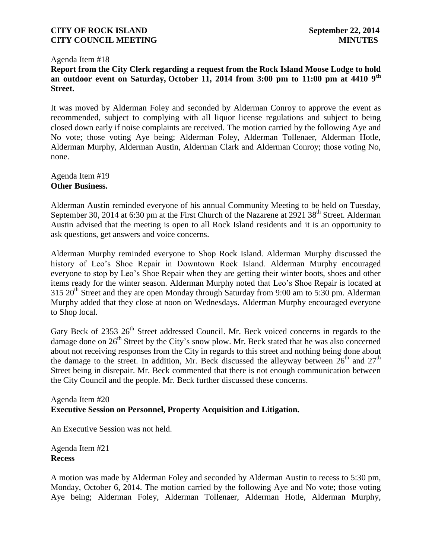#### Agenda Item #18

**Report from the City Clerk regarding a request from the Rock Island Moose Lodge to hold an outdoor event on Saturday, October 11, 2014 from 3:00 pm to 11:00 pm at 4410 9th Street.**

It was moved by Alderman Foley and seconded by Alderman Conroy to approve the event as recommended, subject to complying with all liquor license regulations and subject to being closed down early if noise complaints are received. The motion carried by the following Aye and No vote; those voting Aye being; Alderman Foley, Alderman Tollenaer, Alderman Hotle, Alderman Murphy, Alderman Austin, Alderman Clark and Alderman Conroy; those voting No, none.

Agenda Item #19 **Other Business.**

Alderman Austin reminded everyone of his annual Community Meeting to be held on Tuesday, September 30, 2014 at 6:30 pm at the First Church of the Nazarene at 2921 38<sup>th</sup> Street. Alderman Austin advised that the meeting is open to all Rock Island residents and it is an opportunity to ask questions, get answers and voice concerns.

Alderman Murphy reminded everyone to Shop Rock Island. Alderman Murphy discussed the history of Leo's Shoe Repair in Downtown Rock Island. Alderman Murphy encouraged everyone to stop by Leo's Shoe Repair when they are getting their winter boots, shoes and other items ready for the winter season. Alderman Murphy noted that Leo's Shoe Repair is located at  $315$  20<sup>th</sup> Street and they are open Monday through Saturday from 9:00 am to 5:30 pm. Alderman Murphy added that they close at noon on Wednesdays. Alderman Murphy encouraged everyone to Shop local.

Gary Beck of 2353 26<sup>th</sup> Street addressed Council. Mr. Beck voiced concerns in regards to the damage done on  $26<sup>th</sup>$  Street by the City's snow plow. Mr. Beck stated that he was also concerned about not receiving responses from the City in regards to this street and nothing being done about the damage to the street. In addition, Mr. Beck discussed the alleyway between  $26<sup>th</sup>$  and  $27<sup>th</sup>$ Street being in disrepair. Mr. Beck commented that there is not enough communication between the City Council and the people. Mr. Beck further discussed these concerns.

#### Agenda Item #20 **Executive Session on Personnel, Property Acquisition and Litigation.**

An Executive Session was not held.

Agenda Item #21 **Recess**

A motion was made by Alderman Foley and seconded by Alderman Austin to recess to 5:30 pm, Monday, October 6, 2014. The motion carried by the following Aye and No vote; those voting Aye being; Alderman Foley, Alderman Tollenaer, Alderman Hotle, Alderman Murphy,